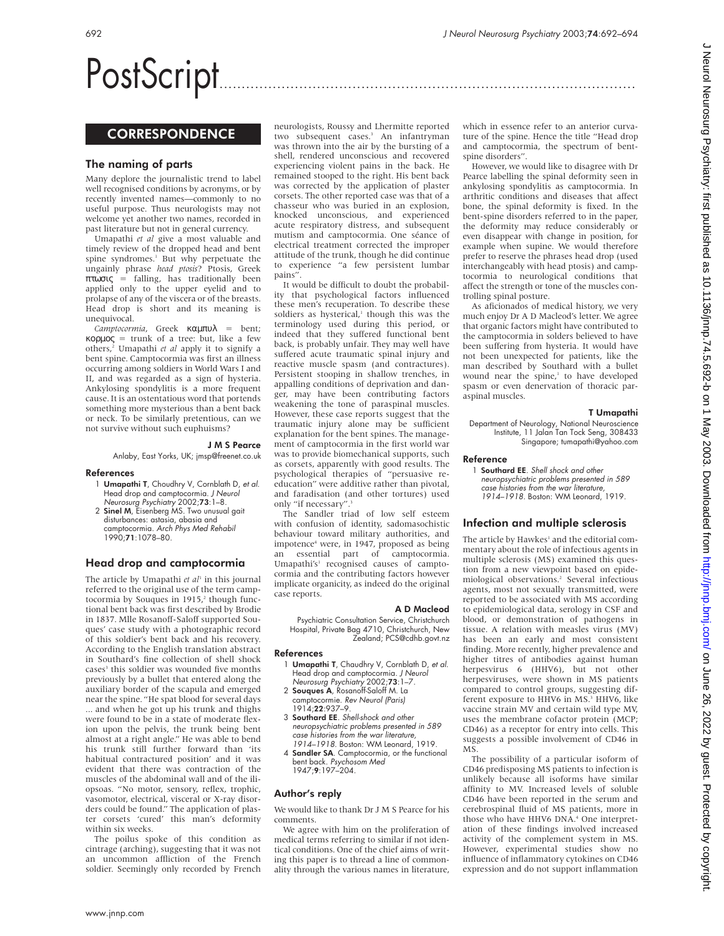# PostScript..............................................................................................

## **CORRESPONDENCE**

## The naming of parts

Many deplore the journalistic trend to label well recognised conditions by acronyms, or by recently invented names—commonly to no useful purpose. Thus neurologists may not welcome yet another two names, recorded in past literature but not in general currency.

Umapathi *et al* give a most valuable and timely review of the dropped head and bent spine syndromes.<sup>1</sup> But why perpetuate the ungainly phrase *head ptosis*? Ptosis, Greek πτωσις = falling, has traditionally been applied only to the upper eyelid and to prolapse of any of the viscera or of the breasts. Head drop is short and its meaning is unequivocal.

*Camptocormia*, Greek καµπυλ = bent; κορµος = trunk of a tree: but, like a few others,2 Umapathi *et al* apply it to signify a bent spine. Camptocormia was first an illness occurring among soldiers in World Wars I and II, and was regarded as a sign of hysteria. Ankylosing spondylitis is a more frequent cause. It is an ostentatious word that portends something more mysterious than a bent back or neck. To be similarly pretentious, can we not survive without such euphuisms?

#### J M S Pearce

Anlaby, East Yorks, UK; jmsp@freenet.co.uk

#### References

- 1 Umapathi T, Choudhry V, Cornblath D, et al. Head drop and camptocormia. J Neurol Neurosurg Psychiatry 2002;73:1–8.
- 2 Sinel M, Eisenberg MS. Two unusual gait disturbances: astasia, abasia and camptocormia. Arch Phys Med Rehabil 1990;71:1078–80.

## Head drop and camptocormia

The article by Umapathi et al<sup>1</sup> in this journal referred to the original use of the term camptocormia by Souques in  $1915$ ,<sup>2</sup> though functional bent back was first described by Brodie in 1837. Mlle Rosanoff-Saloff supported Souques' case study with a photographic record of this soldier's bent back and his recovery. According to the English translation abstract in Southard's fine collection of shell shock cases<sup>3</sup> this soldier was wounded five months previously by a bullet that entered along the auxiliary border of the scapula and emerged near the spine. "He spat blood for several days ... and when he got up his trunk and thighs were found to be in a state of moderate flexion upon the pelvis, the trunk being bent almost at a right angle." He was able to bend his trunk still further forward than 'its habitual contractured position' and it was evident that there was contraction of the muscles of the abdominal wall and of the iliopsoas. "No motor, sensory, reflex, trophic, vasomotor, electrical, visceral or X-ray disorders could be found." The application of plaster corsets 'cured' this man's deformity within six weeks.

The poilus spoke of this condition as cintrage (arching), suggesting that it was not an uncommon affliction of the French soldier. Seemingly only recorded by French

neurologists, Roussy and Lhermitte reported two subsequent cases.<sup>3</sup> An infantryman was thrown into the air by the bursting of a shell, rendered unconscious and recovered experiencing violent pains in the back. He remained stooped to the right. His bent back was corrected by the application of plaster corsets. The other reported case was that of a chasseur who was buried in an explosion, knocked unconscious, and experienced acute respiratory distress, and subsequent mutism and camptocormia. One séance of electrical treatment corrected the improper attitude of the trunk, though he did continue to experience "a few persistent lumbar pains".

It would be difficult to doubt the probability that psychological factors influenced these men's recuperation. To describe these soldiers as hysterical,<sup>1</sup> though this was the terminology used during this period, or indeed that they suffered functional bent back, is probably unfair. They may well have suffered acute traumatic spinal injury and reactive muscle spasm (and contractures). Persistent stooping in shallow trenches, in appalling conditions of deprivation and danger, may have been contributing factors weakening the tone of paraspinal muscles. However, these case reports suggest that the traumatic injury alone may be sufficient explanation for the bent spines. The management of camptocormia in the first world war was to provide biomechanical supports, such as corsets, apparently with good results. The psychological therapies of "persuasive reeducation" were additive rather than pivotal, and faradisation (and other tortures) used only "if necessary".

The Sandler triad of low self esteem with confusion of identity, sadomasochistic behaviour toward military authorities, and impotence<sup>4</sup> were, in 1947, proposed as being an essential part of camptocormia. Umapathi's<sup>1</sup> recognised causes of camptocormia and the contributing factors however implicate organicity, as indeed do the original case reports.

#### A D Macleod

Psychiatric Consultation Service, Christchurch Hospital, Private Bag 4710, Christchurch, New Zealand; PCS@cdhb.govt.nz

#### References

- 1 Umapathi T, Chaudhry V, Cornblath D, et al. Head drop and camptocormia. J Neurol Neurosurg Psychiatry 2002;73:1–7.
- 2 Souques A, Rosanoff-Saloff M. La camptocormie. Rev Neurol (Paris)
- 1914;**22**:937–9. 3 Southard EE. Shell-shock and other
- neuropsychiatric problems presented in 589 case histories from the war literature, 1914–1918. Boston: WM Leonard, 1919.
- 4 Sandler SA. Camptocormia, or the functional bent back. Psychosom Med 1947;9:197–204.

#### Author's reply

We would like to thank Dr J M S Pearce for his comments.

We agree with him on the proliferation of medical terms referring to similar if not identical conditions. One of the chief aims of writing this paper is to thread a line of commonality through the various names in literature,

which in essence refer to an anterior curvature of the spine. Hence the title "Head drop and camptocormia, the spectrum of bentspine disorders".

However, we would like to disagree with Dr Pearce labelling the spinal deformity seen in ankylosing spondylitis as camptocormia. In arthritic conditions and diseases that affect bone, the spinal deformity is fixed. In the bent-spine disorders referred to in the paper, the deformity may reduce considerably or even disappear with change in position, for example when supine. We would therefore prefer to reserve the phrases head drop (used interchangeably with head ptosis) and camptocormia to neurological conditions that affect the strength or tone of the muscles controlling spinal posture.

As aficionados of medical history, we very much enjoy Dr A D Macleod's letter. We agree that organic factors might have contributed to the camptocormia in solders believed to have been suffering from hysteria. It would have not been unexpected for patients, like the man described by Southard with a bullet wound near the spine,<sup>1</sup> to have developed spasm or even denervation of thoracic paraspinal muscles.

#### T Umapathi

Department of Neurology, National Neuroscience Institute, 11 Jalan Tan Tock Seng, 308433 Singapore; tumapathi@yahoo.com

#### Reference

1 Southard EE. Shell shock and other neuropsychiatric problems presented in 589 case histories from the war literature, 1914–1918. Boston: WM Leonard, 1919.

## Infection and multiple sclerosis

The article by Hawkes<sup>1</sup> and the editorial commentary about the role of infectious agents in multiple sclerosis (MS) examined this question from a new viewpoint based on epidemiological observations.2 Several infectious agents, most not sexually transmitted, were reported to be associated with MS according to epidemiological data, serology in CSF and blood, or demonstration of pathogens in tissue. A relation with measles virus (MV) has been an early and most consistent finding. More recently, higher prevalence and higher titres of antibodies against human herpesvirus 6 (HHV6), but not other herpesviruses, were shown in MS patients compared to control groups, suggesting different exposure to HHV6 in MS.<sup>3</sup> HHV6, like vaccine strain MV and certain wild type MV, uses the membrane cofactor protein (MCP; CD46) as a receptor for entry into cells. This suggests a possible involvement of CD46 in MS.

The possibility of a particular isoform of CD46 predisposing MS patients to infection is unlikely because all isoforms have similar affinity to MV. Increased levels of soluble CD46 have been reported in the serum and cerebrospinal fluid of MS patients, more in those who have HHV6 DNA.<sup>4</sup> One interpretation of these findings involved increased activity of the complement system in MS. However, experimental studies show no influence of inflammatory cytokines on CD46 expression and do not support inflammation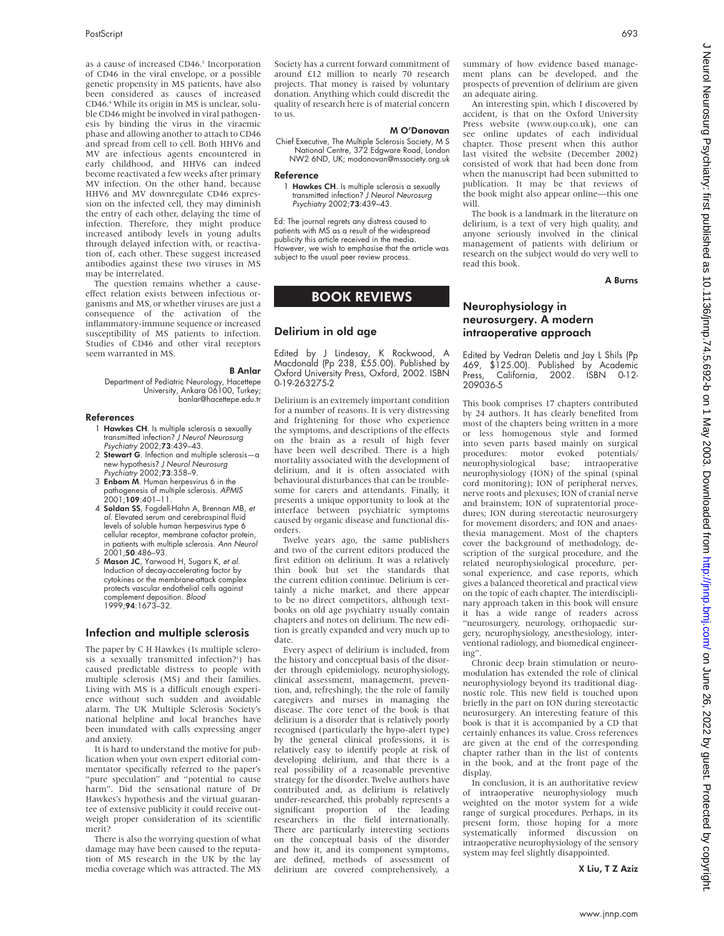as a cause of increased CD46.<sup>5</sup> Incorporation of CD46 in the viral envelope, or a possible genetic propensity in MS patients, have also been considered as causes of increased CD46.4 While its origin in MS is unclear, soluble CD46 might be involved in viral pathogenesis by binding the virus in the viraemic phase and allowing another to attach to CD46 and spread from cell to cell. Both HHV6 and MV are infectious agents encountered in early childhood, and HHV6 can indeed become reactivated a few weeks after primary MV infection. On the other hand, because HHV6 and MV downregulate CD46 expression on the infected cell, they may diminish the entry of each other, delaying the time of infection. Therefore, they might produce increased antibody levels in young adults through delayed infection with, or reactivation of, each other. These suggest increased antibodies against these two viruses in MS may be interrelated.

The question remains whether a causeeffect relation exists between infectious organisms and MS, or whether viruses are just a consequence of the activation of the inflammatory-immune sequence or increased susceptibility of MS patients to infection. Studies of CD46 and other viral receptors seem warranted in MS.

#### B Anlar

Department of Pediatric Neurology, Hacettepe University, Ankara 06100, Turkey; banlar@hacettepe.edu.tr

#### References

- 1 **Hawkes CH**. Is multiple sclerosis a sexually transmitted infection? J Neurol Neurosurg Psychiatry 2002;73:439–43.
- 2 Stewart G. Infection and multiple sclerosis—a new hypothesis? J Neurol Neurosurg Psychiatry 2002;73:358–9.
- 3 Enbom M. Human herpesvirus 6 in the pathogenesis of multiple sclerosis. APMIS  $2001$ ;109:401–11.
- 4 Soldan SS, Fogdell-Hahn A, Brennan MB, et al. Elevated serum and cerebrospinal fluid levels of soluble human herpesvirus type 6 cellular receptor, membrane cofactor protein, in patients with multiple sclerosis. Ann Neurol 2001;50:486–93.
- 5 Mason JC, Yarwood H, Sugars K, et al. Induction of decay-accelerating factor by cytokines or the membrane-attack complex protects vascular endothelial cells against complement deposition. Blood 1999;94:1673–32.

## Infection and multiple sclerosis

The paper by C H Hawkes (Is multiple sclerosis a sexually transmitted infection?<sup>1</sup>) has caused predictable distress to people with multiple sclerosis (MS) and their families. Living with MS is a difficult enough experience without such sudden and avoidable alarm. The UK Multiple Sclerosis Society's national helpline and local branches have been inundated with calls expressing anger and anxiety.

It is hard to understand the motive for publication when your own expert editorial commentator specifically referred to the paper's "pure speculation" and "potential to cause harm". Did the sensational nature of Dr Hawkes's hypothesis and the virtual guarantee of extensive publicity it could receive outweigh proper consideration of its scientific merit?

There is also the worrying question of what damage may have been caused to the reputation of MS research in the UK by the lay media coverage which was attracted. The MS Society has a current forward commitment of around £12 million to nearly 70 research projects. That money is raised by voluntary donation. Anything which could discredit the quality of research here is of material concern to us.

#### M O'Donovan

Chief Executive, The Multiple Sclerosis Society, M S National Centre, 372 Edgware Road, London NW2 6ND, UK; modonovan@mssociety.org.uk

#### Reference

1 Hawkes CH. Is multiple sclerosis a sexually transmitted infection? J Neurol Neurosurg Psychiatry 2002;73:439–43.

Ed: The journal regrets any distress caused to patients with MS as a result of the widespread publicity this article received in the media. However, we wish to emphasise that the article was subject to the usual peer review process.

## BOOK REVIEWS

## Delirium in old age

Edited by J Lindesay, K Rockwood, A Macdonald (Pp 238, £55.00). Published by Oxford University Press, Oxford, 2002. ISBN 0-19-263275-2

Delirium is an extremely important condition for a number of reasons. It is very distressing and frightening for those who experience the symptoms, and descriptions of the effects on the brain as a result of high fever have been well described. There is a high mortality associated with the development of delirium, and it is often associated with behavioural disturbances that can be troublesome for carers and attendants. Finally, it presents a unique opportunity to look at the interface between psychiatric symptoms caused by organic disease and functional disorders.

Twelve years ago, the same publishers and two of the current editors produced the first edition on delirium. It was a relatively thin book but set the standards that the current edition continue. Delirium is certainly a niche market, and there appear to be no direct competitors, although textbooks on old age psychiatry usually contain chapters and notes on delirium. The new edition is greatly expanded and very much up to date.

Every aspect of delirium is included, from the history and conceptual basis of the disorder through epidemiology, neurophysiology, clinical assessment, management, prevention, and, refreshingly, the the role of family caregivers and nurses in managing the disease. The core tenet of the book is that delirium is a disorder that is relatively poorly recognised (particularly the hypo-alert type) by the general clinical professions, it is relatively easy to identify people at risk of developing delirium, and that there is a real possibility of a reasonable preventive strategy for the disorder. Twelve authors have contributed and, as delirium is relatively under-researched, this probably represents a significant proportion of the leading researchers in the field internationally. There are particularly interesting sections on the conceptual basis of the disorder and how it, and its component symptoms, are defined, methods of assessment of delirium are covered comprehensively, a summary of how evidence based management plans can be developed, and the prospects of prevention of delirium are given an adequate airing.

An interesting spin, which I discovered by accident, is that on the Oxford University Press website (www.oup.co.uk), one can see online updates of each individual chapter. Those present when this author last visited the website (December 2002) consisted of work that had been done from when the manuscript had been submitted to publication. It may be that reviews of the book might also appear online—this one will.

The book is a landmark in the literature on delirium, is a text of very high quality, and anyone seriously involved in the clinical management of patients with delirium or research on the subject would do very well to read this book.

A Burns

## Neurophysiology in neurosurgery. A modern intraoperative approach

Edited by Vedran Deletis and Jay L Shils (Pp 469, \$125.00). Published by Academic California, 2002. ISBN 0-12-209036-5

This book comprises 17 chapters contributed by 24 authors. It has clearly benefited from most of the chapters being written in a more or less homogenous style and formed into seven parts based mainly on surgical procedures: motor evoked potentials/<br>
neurophysiological base: intraoperative neurophysiological base; neurophysiology (ION) of the spinal (spinal cord monitoring); ION of peripheral nerves, nerve roots and plexuses; ION of cranial nerve and brainstem; ION of supratentorial procedures; ION during stereotactic neurosurgery for movement disorders; and ION and anaesthesia management. Most of the chapters cover the background of methodology, description of the surgical procedure, and the related neurophysiological procedure, personal experience, and case reports, which gives a balanced theoretical and practical view on the topic of each chapter. The interdisciplinary approach taken in this book will ensure it has a wide range of readers across "neurosurgery, neurology, orthopaedic surgery, neurophysiology, anesthesiology, interventional radiology, and biomedical engineering".

Chronic deep brain stimulation or neuromodulation has extended the role of clinical neurophysiology beyond its traditional diagnostic role. This new field is touched upon briefly in the part on ION during stereotactic neurosurgery. An interesting feature of this book is that it is accompanied by a CD that certainly enhances its value. Cross references are given at the end of the corresponding chapter rather than in the list of contents in the book, and at the front page of the display.

In conclusion, it is an authoritative review of intraoperative neurophysiology much weighted on the motor system for a wide range of surgical procedures. Perhaps, in its present form, those hoping for a more systematically informed discussion on intraoperative neurophysiology of the sensory system may feel slightly disappointed.

X Liu, T Z Aziz